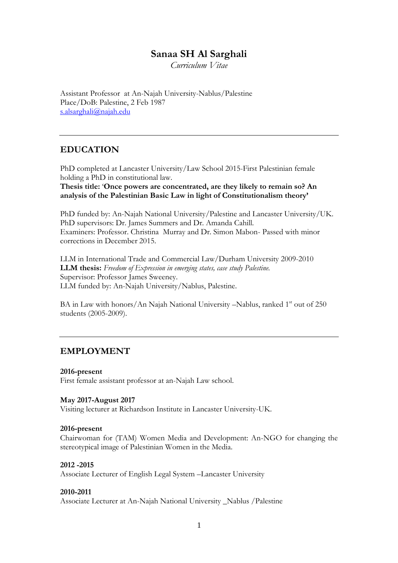# **Sanaa SH Al Sarghali**

*Curriculum Vitae*

Assistant Professor at An-Najah University-Nablus/Palestine Place/DoB: Palestine, 2 Feb 1987 [s.alsarghali@najah.edu](mailto:s.alsarghali@najah.edu)

### **EDUCATION**

PhD completed at Lancaster University/Law School 2015-First Palestinian female holding a PhD in constitutional law.

**Thesis title:** '**Once powers are concentrated, are they likely to remain so? An analysis of the Palestinian Basic Law in light of Constitutionalism theory'**

PhD funded by: An-Najah National University/Palestine and Lancaster University/UK. PhD supervisors: Dr. James Summers and Dr. Amanda Cahill. Examiners: Professor. Christina Murray and Dr. Simon Mabon- Passed with minor corrections in December 2015.

LLM in International Trade and Commercial Law/Durham University 2009-2010 **LLM thesis:** *Freedom of Expression in emerging states, case study Palestine.* Supervisor: Professor James Sweeney. LLM funded by: An-Najah University/Nablus, Palestine.

BA in Law with honors/An Najah National University –Nablus, ranked 1<sup>st</sup> out of 250 students (2005-2009).

### **EMPLOYMENT**

**2016-present** First female assistant professor at an-Najah Law school.

#### **May 2017-August 2017**

Visiting lecturer at Richardson Institute in Lancaster University-UK.

#### **2016-present**

Chairwoman for (TAM) Women Media and Development: An-NGO for changing the stereotypical image of Palestinian Women in the Media.

#### **2012 -2015**

Associate Lecturer of English Legal System –Lancaster University

#### **2010-2011**

Associate Lecturer at An-Najah National University \_Nablus /Palestine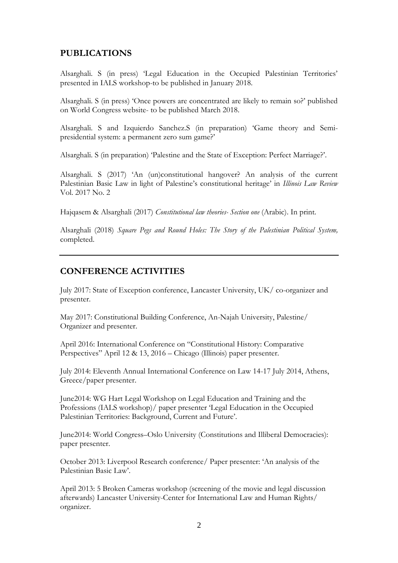# **PUBLICATIONS**

Alsarghali. S (in press) 'Legal Education in the Occupied Palestinian Territories' presented in IALS workshop-to be published in January 2018.

Alsarghali. S (in press) 'Once powers are concentrated are likely to remain so?' published on World Congress website- to be published March 2018.

Alsarghali. S and Izquierdo Sanchez.S (in preparation) 'Game theory and Semipresidential system: a permanent zero sum game?'

Alsarghali. S (in preparation) 'Palestine and the State of Exception: Perfect Marriage?'.

Alsarghali. S (2017) 'An (un)constitutional hangover? An analysis of the current Palestinian Basic Law in light of Palestine's constitutional heritage' in *Illinois Law Review*  Vol. 2017 No. 2

Hajqasem & Alsarghali (2017) *Constitutional law theories- Section one* (Arabic). In print.

Alsarghali (2018) *Square Pegs and Round Holes: The Story of the Palestinian Political System,* completed.

### **CONFERENCE ACTIVITIES**

July 2017: State of Exception conference, Lancaster University, UK/ co-organizer and presenter.

May 2017: Constitutional Building Conference, An-Najah University, Palestine/ Organizer and presenter.

April 2016: International Conference on "Constitutional History: Comparative Perspectives" April 12 & 13, 2016 – Chicago (Illinois) paper presenter.

July 2014: Eleventh Annual International Conference on Law 14-17 July 2014, Athens, Greece/paper presenter.

June2014: WG Hart Legal Workshop on Legal Education and Training and the Professions (IALS workshop)/ paper presenter 'Legal Education in the Occupied Palestinian Territories: Background, Current and Future'.

June2014: World Congress–Oslo University (Constitutions and Illiberal Democracies): paper presenter.

October 2013: Liverpool Research conference/ Paper presenter: 'An analysis of the Palestinian Basic Law'.

April 2013: 5 Broken Cameras workshop (screening of the movie and legal discussion afterwards) Lancaster University-Center for International Law and Human Rights/ organizer.